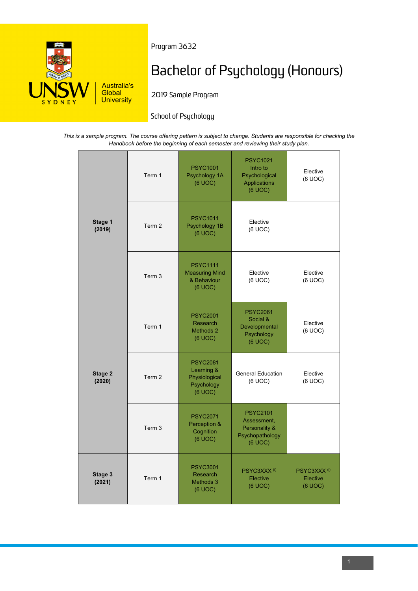

Program 3632

# Bachelor of Psychology (Honours)

2019 Sample Program

# School of Psychology

*This is a sample program. The course offering pattern is subject to change. Students are responsible for checking the Handbook before the beginning of each semester and reviewing their study plan.*

| Stage 1<br>(2019) | Term 1            | <b>PSYC1001</b><br>Psychology 1A<br>(6 UOC)                             | <b>PSYC1021</b><br>Intro to<br>Psychological<br><b>Applications</b><br>(6 UOC) | Elective<br>(6 UOC)                            |
|-------------------|-------------------|-------------------------------------------------------------------------|--------------------------------------------------------------------------------|------------------------------------------------|
|                   | Term 2            | <b>PSYC1011</b><br>Psychology 1B<br>(6 UOC)                             | Elective<br>(6 UOC)                                                            |                                                |
|                   | Term <sub>3</sub> | <b>PSYC1111</b><br><b>Measuring Mind</b><br>& Behaviour<br>(6 UOC)      | Elective<br>(6 UOC)                                                            | Elective<br>(6 UOC)                            |
| Stage 2<br>(2020) | Term 1            | <b>PSYC2001</b><br>Research<br>Methods 2<br>(6 UOC)                     | <b>PSYC2061</b><br>Social &<br>Developmental<br>Psychology<br>(6 UOC)          | Elective<br>(6 UOC)                            |
|                   | Term 2            | <b>PSYC2081</b><br>Learning &<br>Physiological<br>Psychology<br>(6 UOC) | <b>General Education</b><br>(6 UOC)                                            | Elective<br>(6 UOC)                            |
|                   | Term <sub>3</sub> | <b>PSYC2071</b><br>Perception &<br>Cognition<br>(6 UOC)                 | <b>PSYC2101</b><br>Assessment,<br>Personality &<br>Psychopathology<br>(6 UOC)  |                                                |
| Stage 3<br>(2021) | Term 1            | <b>PSYC3001</b><br>Research<br>Methods 3<br>(6 UOC)                     | PSYC3XXX <sup>(i)</sup><br>Elective<br>(6 UOC)                                 | PSYC3XXX <sup>(i)</sup><br>Elective<br>(6 UOC) |